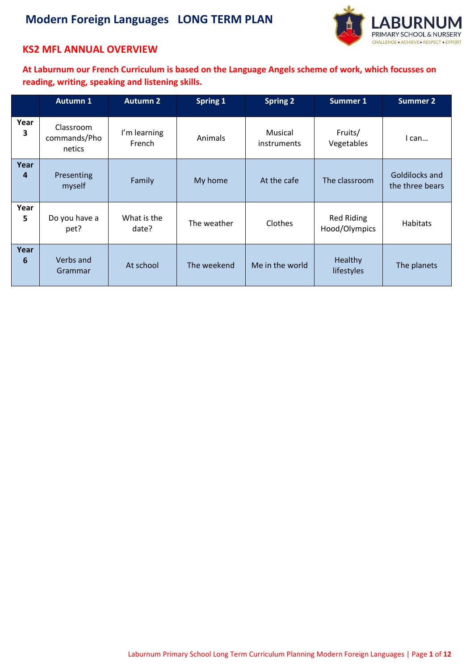

### **KS2 MFL ANNUAL OVERVIEW**

**At Laburnum our French Curriculum is based on the Language Angels scheme of work, which focusses on reading, writing, speaking and listening skills.**

|           | <b>Autumn 1</b>                     | <b>Autumn 2</b>        | <b>Spring 1</b> | <b>Spring 2</b>        | <b>Summer 1</b>             | <b>Summer 2</b>                   |
|-----------|-------------------------------------|------------------------|-----------------|------------------------|-----------------------------|-----------------------------------|
| Year<br>3 | Classroom<br>commands/Pho<br>netics | I'm learning<br>French | Animals         | Musical<br>instruments | Fruits/<br>Vegetables       | I can                             |
| Year<br>4 | Presenting<br>myself                | Family                 | My home         | At the cafe            | The classroom               | Goldilocks and<br>the three bears |
| Year<br>5 | Do you have a<br>pet?               | What is the<br>date?   | The weather     | Clothes                | Red Riding<br>Hood/Olympics | Habitats                          |
| Year<br>6 | Verbs and<br>Grammar                | At school              | The weekend     | Me in the world        | Healthy<br>lifestyles       | The planets                       |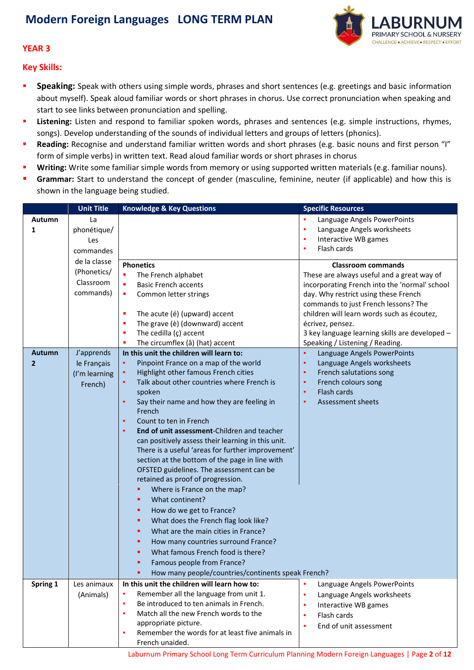

#### **YEAR 3**

**Key Skills:**

- **Speaking:** Speak with others using simple words, phrases and short sentences (e.g. greetings and basic information about myself). Speak aloud familiar words or short phrases in chorus. Use correct pronunciation when speaking and start to see links between pronunciation and spelling.
- **Listening:** Listen and respond to familiar spoken words, phrases and sentences (e.g. simple instructions, rhymes, songs). Develop understanding of the sounds of individual letters and groups of letters (phonics).
- **Reading:** Recognise and understand familiar written words and short phrases (e.g. basic nouns and first person "I" form of simple verbs) in written text. Read aloud familiar words or short phrases in chorus
- **Writing:** Write some familiar simple words from memory or using supported written materials (e.g. familiar nouns).
- **Grammar:** Start to understand the concept of gender (masculine, feminine, neuter (if applicable) and how this is shown in the language being studied.

|              | <b>Unit Title</b> | <b>Knowledge &amp; Key Questions</b>                 | <b>Specific Resources</b>                      |
|--------------|-------------------|------------------------------------------------------|------------------------------------------------|
| Autumn       | La                |                                                      | Language Angels PowerPoints                    |
| 1            | phonétique/       |                                                      | Language Angels worksheets                     |
|              | Les               |                                                      | Interactive WB games                           |
|              | commandes         |                                                      | Flash cards<br>٠                               |
|              | de la classe      |                                                      |                                                |
|              | (Phonetics/       | <b>Phonetics</b>                                     | <b>Classroom commands</b>                      |
|              | Classroom         | ×<br>The French alphabet                             | These are always useful and a great way of     |
|              |                   | <b>Basic French accents</b><br>п                     | incorporating French into the 'normal' school  |
|              | commands)         | Common letter strings<br>٠                           | day. Why restrict using these French           |
|              |                   |                                                      | commands to just French lessons? The           |
|              |                   | The acute (é) (upward) accent<br>п                   | children will learn words such as écoutez,     |
|              |                   | The grave (è) (downward) accent<br>п                 | écrivez, pensez.                               |
|              |                   | The cedilla $(c)$ accent<br>٠                        | 3 key language learning skills are developed - |
|              |                   | The circumflex (â) (hat) accent<br>г                 | Speaking / Listening / Reading.                |
| Autumn       | J'apprends        | In this unit the children will learn to:             | Language Angels PowerPoints                    |
| $\mathbf{2}$ | le Français       | Pinpoint France on a map of the world<br>٠           | Language Angels worksheets                     |
|              | (I'm learning     | Highlight other famous French cities<br>٠            | French salutations song                        |
|              | French)           | Talk about other countries where French is           | French colours song                            |
|              |                   | spoken                                               | Flash cards                                    |
|              |                   | ٠<br>Say their name and how they are feeling in      | <b>Assessment sheets</b>                       |
|              |                   | French                                               |                                                |
|              |                   | Count to ten in French<br>٠                          |                                                |
|              |                   | End of unit assessment-Children and teacher<br>٠     |                                                |
|              |                   | can positively assess their learning in this unit.   |                                                |
|              |                   | There is a useful 'areas for further improvement'    |                                                |
|              |                   | section at the bottom of the page in line with       |                                                |
|              |                   | OFSTED guidelines. The assessment can be             |                                                |
|              |                   | retained as proof of progression.                    |                                                |
|              |                   | ٠<br>Where is France on the map?                     |                                                |
|              |                   | What continent?<br>×                                 |                                                |
|              |                   | How do we get to France?<br>٠                        |                                                |
|              |                   | What does the French flag look like?<br>٠            |                                                |
|              |                   | What are the main cities in France?<br>٠             |                                                |
|              |                   | How many countries surround France?                  |                                                |
|              |                   | What famous French food is there?                    |                                                |
|              |                   | Famous people from France?                           |                                                |
|              |                   | How many people/countries/continents speak French?   |                                                |
| Spring 1     | Les animaux       | In this unit the children will learn how to:         | Language Angels PowerPoints                    |
|              | (Animals)         | Remember all the language from unit 1.<br>٠          | Language Angels worksheets                     |
|              |                   | Be introduced to ten animals in French.<br>٠         | Interactive WB games                           |
|              |                   | Match all the new French words to the<br>٠           | Flash cards                                    |
|              |                   | appropriate picture.                                 | End of unit assessment                         |
|              |                   | Remember the words for at least five animals in<br>٠ |                                                |
|              |                   | French unaided.                                      |                                                |

Laburnum Primary School Long Term Curriculum Planning Modern Foreign Languages | Page **2** of **12**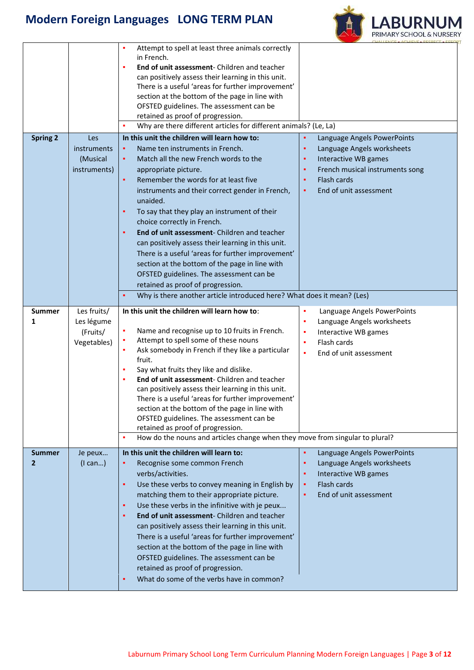

| in French.<br>End of unit assessment- Children and teacher<br>٠<br>can positively assess their learning in this unit.<br>There is a useful 'areas for further improvement'<br>section at the bottom of the page in line with<br>OFSTED guidelines. The assessment can be<br>retained as proof of progression.<br>Why are there different articles for different animals? (Le, La)<br>In this unit the children will learn how to:<br><b>Spring 2</b><br>٠<br>Language Angels PowerPoints<br>Les<br>Name ten instruments in French.<br><b>instruments</b><br>Language Angels worksheets<br>٠<br>٠<br>Match all the new French words to the<br>Interactive WB games<br>(Musical<br>٠<br>٠<br>French musical instruments song<br>instruments)<br>appropriate picture.<br>٠<br>Remember the words for at least five<br>Flash cards<br>٠<br>End of unit assessment<br>instruments and their correct gender in French,<br>٠<br>unaided.<br>To say that they play an instrument of their<br>٠<br>choice correctly in French.<br>End of unit assessment- Children and teacher<br>٠<br>can positively assess their learning in this unit.<br>There is a useful 'areas for further improvement'<br>section at the bottom of the page in line with<br>OFSTED guidelines. The assessment can be<br>retained as proof of progression.<br>Why is there another article introduced here? What does it mean? (Les)<br>Les fruits/<br>In this unit the children will learn how to:<br><b>Summer</b><br>×<br>Language Angels PowerPoints<br>Les légume<br>×<br>Language Angels worksheets<br>1<br>٠<br>Name and recognise up to 10 fruits in French.<br>(Fruits/<br>Interactive WB games<br>$\blacksquare$<br>Attempt to spell some of these nouns<br>Flash cards<br>Vegetables)<br>×<br>Ask somebody in French if they like a particular<br>٠<br>×<br>End of unit assessment<br>fruit.<br>Say what fruits they like and dislike.<br>٠<br>End of unit assessment- Children and teacher<br>٠<br>can positively assess their learning in this unit.<br>There is a useful 'areas for further improvement'<br>section at the bottom of the page in line with<br>OFSTED guidelines. The assessment can be<br>retained as proof of progression.<br>How do the nouns and articles change when they move from singular to plural?<br>In this unit the children will learn to:<br>Language Angels PowerPoints<br><b>Summer</b><br>Je peux<br>(1 can)<br>Recognise some common French<br>Language Angels worksheets<br>2<br>٠<br>verbs/activities.<br>Interactive WB games<br>٠<br>Use these verbs to convey meaning in English by<br>Flash cards<br>٠<br>$\blacksquare$<br>End of unit assessment<br>matching them to their appropriate picture.<br>٠<br>Use these verbs in the infinitive with je peux<br>٠ |  | Attempt to spell at least three animals correctly<br>٠ |  |
|-----------------------------------------------------------------------------------------------------------------------------------------------------------------------------------------------------------------------------------------------------------------------------------------------------------------------------------------------------------------------------------------------------------------------------------------------------------------------------------------------------------------------------------------------------------------------------------------------------------------------------------------------------------------------------------------------------------------------------------------------------------------------------------------------------------------------------------------------------------------------------------------------------------------------------------------------------------------------------------------------------------------------------------------------------------------------------------------------------------------------------------------------------------------------------------------------------------------------------------------------------------------------------------------------------------------------------------------------------------------------------------------------------------------------------------------------------------------------------------------------------------------------------------------------------------------------------------------------------------------------------------------------------------------------------------------------------------------------------------------------------------------------------------------------------------------------------------------------------------------------------------------------------------------------------------------------------------------------------------------------------------------------------------------------------------------------------------------------------------------------------------------------------------------------------------------------------------------------------------------------------------------------------------------------------------------------------------------------------------------------------------------------------------------------------------------------------------------------------------------------------------------------------------------------------------------------------------------------------------------------------------------------------------------------------------------------------------------------------------------------------------------------------------|--|--------------------------------------------------------|--|
|                                                                                                                                                                                                                                                                                                                                                                                                                                                                                                                                                                                                                                                                                                                                                                                                                                                                                                                                                                                                                                                                                                                                                                                                                                                                                                                                                                                                                                                                                                                                                                                                                                                                                                                                                                                                                                                                                                                                                                                                                                                                                                                                                                                                                                                                                                                                                                                                                                                                                                                                                                                                                                                                                                                                                                                   |  |                                                        |  |
|                                                                                                                                                                                                                                                                                                                                                                                                                                                                                                                                                                                                                                                                                                                                                                                                                                                                                                                                                                                                                                                                                                                                                                                                                                                                                                                                                                                                                                                                                                                                                                                                                                                                                                                                                                                                                                                                                                                                                                                                                                                                                                                                                                                                                                                                                                                                                                                                                                                                                                                                                                                                                                                                                                                                                                                   |  |                                                        |  |
|                                                                                                                                                                                                                                                                                                                                                                                                                                                                                                                                                                                                                                                                                                                                                                                                                                                                                                                                                                                                                                                                                                                                                                                                                                                                                                                                                                                                                                                                                                                                                                                                                                                                                                                                                                                                                                                                                                                                                                                                                                                                                                                                                                                                                                                                                                                                                                                                                                                                                                                                                                                                                                                                                                                                                                                   |  |                                                        |  |
|                                                                                                                                                                                                                                                                                                                                                                                                                                                                                                                                                                                                                                                                                                                                                                                                                                                                                                                                                                                                                                                                                                                                                                                                                                                                                                                                                                                                                                                                                                                                                                                                                                                                                                                                                                                                                                                                                                                                                                                                                                                                                                                                                                                                                                                                                                                                                                                                                                                                                                                                                                                                                                                                                                                                                                                   |  |                                                        |  |
|                                                                                                                                                                                                                                                                                                                                                                                                                                                                                                                                                                                                                                                                                                                                                                                                                                                                                                                                                                                                                                                                                                                                                                                                                                                                                                                                                                                                                                                                                                                                                                                                                                                                                                                                                                                                                                                                                                                                                                                                                                                                                                                                                                                                                                                                                                                                                                                                                                                                                                                                                                                                                                                                                                                                                                                   |  |                                                        |  |
|                                                                                                                                                                                                                                                                                                                                                                                                                                                                                                                                                                                                                                                                                                                                                                                                                                                                                                                                                                                                                                                                                                                                                                                                                                                                                                                                                                                                                                                                                                                                                                                                                                                                                                                                                                                                                                                                                                                                                                                                                                                                                                                                                                                                                                                                                                                                                                                                                                                                                                                                                                                                                                                                                                                                                                                   |  |                                                        |  |
|                                                                                                                                                                                                                                                                                                                                                                                                                                                                                                                                                                                                                                                                                                                                                                                                                                                                                                                                                                                                                                                                                                                                                                                                                                                                                                                                                                                                                                                                                                                                                                                                                                                                                                                                                                                                                                                                                                                                                                                                                                                                                                                                                                                                                                                                                                                                                                                                                                                                                                                                                                                                                                                                                                                                                                                   |  |                                                        |  |
|                                                                                                                                                                                                                                                                                                                                                                                                                                                                                                                                                                                                                                                                                                                                                                                                                                                                                                                                                                                                                                                                                                                                                                                                                                                                                                                                                                                                                                                                                                                                                                                                                                                                                                                                                                                                                                                                                                                                                                                                                                                                                                                                                                                                                                                                                                                                                                                                                                                                                                                                                                                                                                                                                                                                                                                   |  |                                                        |  |
|                                                                                                                                                                                                                                                                                                                                                                                                                                                                                                                                                                                                                                                                                                                                                                                                                                                                                                                                                                                                                                                                                                                                                                                                                                                                                                                                                                                                                                                                                                                                                                                                                                                                                                                                                                                                                                                                                                                                                                                                                                                                                                                                                                                                                                                                                                                                                                                                                                                                                                                                                                                                                                                                                                                                                                                   |  |                                                        |  |
|                                                                                                                                                                                                                                                                                                                                                                                                                                                                                                                                                                                                                                                                                                                                                                                                                                                                                                                                                                                                                                                                                                                                                                                                                                                                                                                                                                                                                                                                                                                                                                                                                                                                                                                                                                                                                                                                                                                                                                                                                                                                                                                                                                                                                                                                                                                                                                                                                                                                                                                                                                                                                                                                                                                                                                                   |  |                                                        |  |
|                                                                                                                                                                                                                                                                                                                                                                                                                                                                                                                                                                                                                                                                                                                                                                                                                                                                                                                                                                                                                                                                                                                                                                                                                                                                                                                                                                                                                                                                                                                                                                                                                                                                                                                                                                                                                                                                                                                                                                                                                                                                                                                                                                                                                                                                                                                                                                                                                                                                                                                                                                                                                                                                                                                                                                                   |  |                                                        |  |
|                                                                                                                                                                                                                                                                                                                                                                                                                                                                                                                                                                                                                                                                                                                                                                                                                                                                                                                                                                                                                                                                                                                                                                                                                                                                                                                                                                                                                                                                                                                                                                                                                                                                                                                                                                                                                                                                                                                                                                                                                                                                                                                                                                                                                                                                                                                                                                                                                                                                                                                                                                                                                                                                                                                                                                                   |  |                                                        |  |
|                                                                                                                                                                                                                                                                                                                                                                                                                                                                                                                                                                                                                                                                                                                                                                                                                                                                                                                                                                                                                                                                                                                                                                                                                                                                                                                                                                                                                                                                                                                                                                                                                                                                                                                                                                                                                                                                                                                                                                                                                                                                                                                                                                                                                                                                                                                                                                                                                                                                                                                                                                                                                                                                                                                                                                                   |  |                                                        |  |
|                                                                                                                                                                                                                                                                                                                                                                                                                                                                                                                                                                                                                                                                                                                                                                                                                                                                                                                                                                                                                                                                                                                                                                                                                                                                                                                                                                                                                                                                                                                                                                                                                                                                                                                                                                                                                                                                                                                                                                                                                                                                                                                                                                                                                                                                                                                                                                                                                                                                                                                                                                                                                                                                                                                                                                                   |  |                                                        |  |
|                                                                                                                                                                                                                                                                                                                                                                                                                                                                                                                                                                                                                                                                                                                                                                                                                                                                                                                                                                                                                                                                                                                                                                                                                                                                                                                                                                                                                                                                                                                                                                                                                                                                                                                                                                                                                                                                                                                                                                                                                                                                                                                                                                                                                                                                                                                                                                                                                                                                                                                                                                                                                                                                                                                                                                                   |  |                                                        |  |
|                                                                                                                                                                                                                                                                                                                                                                                                                                                                                                                                                                                                                                                                                                                                                                                                                                                                                                                                                                                                                                                                                                                                                                                                                                                                                                                                                                                                                                                                                                                                                                                                                                                                                                                                                                                                                                                                                                                                                                                                                                                                                                                                                                                                                                                                                                                                                                                                                                                                                                                                                                                                                                                                                                                                                                                   |  |                                                        |  |
|                                                                                                                                                                                                                                                                                                                                                                                                                                                                                                                                                                                                                                                                                                                                                                                                                                                                                                                                                                                                                                                                                                                                                                                                                                                                                                                                                                                                                                                                                                                                                                                                                                                                                                                                                                                                                                                                                                                                                                                                                                                                                                                                                                                                                                                                                                                                                                                                                                                                                                                                                                                                                                                                                                                                                                                   |  |                                                        |  |
|                                                                                                                                                                                                                                                                                                                                                                                                                                                                                                                                                                                                                                                                                                                                                                                                                                                                                                                                                                                                                                                                                                                                                                                                                                                                                                                                                                                                                                                                                                                                                                                                                                                                                                                                                                                                                                                                                                                                                                                                                                                                                                                                                                                                                                                                                                                                                                                                                                                                                                                                                                                                                                                                                                                                                                                   |  |                                                        |  |
|                                                                                                                                                                                                                                                                                                                                                                                                                                                                                                                                                                                                                                                                                                                                                                                                                                                                                                                                                                                                                                                                                                                                                                                                                                                                                                                                                                                                                                                                                                                                                                                                                                                                                                                                                                                                                                                                                                                                                                                                                                                                                                                                                                                                                                                                                                                                                                                                                                                                                                                                                                                                                                                                                                                                                                                   |  |                                                        |  |
|                                                                                                                                                                                                                                                                                                                                                                                                                                                                                                                                                                                                                                                                                                                                                                                                                                                                                                                                                                                                                                                                                                                                                                                                                                                                                                                                                                                                                                                                                                                                                                                                                                                                                                                                                                                                                                                                                                                                                                                                                                                                                                                                                                                                                                                                                                                                                                                                                                                                                                                                                                                                                                                                                                                                                                                   |  |                                                        |  |
|                                                                                                                                                                                                                                                                                                                                                                                                                                                                                                                                                                                                                                                                                                                                                                                                                                                                                                                                                                                                                                                                                                                                                                                                                                                                                                                                                                                                                                                                                                                                                                                                                                                                                                                                                                                                                                                                                                                                                                                                                                                                                                                                                                                                                                                                                                                                                                                                                                                                                                                                                                                                                                                                                                                                                                                   |  |                                                        |  |
|                                                                                                                                                                                                                                                                                                                                                                                                                                                                                                                                                                                                                                                                                                                                                                                                                                                                                                                                                                                                                                                                                                                                                                                                                                                                                                                                                                                                                                                                                                                                                                                                                                                                                                                                                                                                                                                                                                                                                                                                                                                                                                                                                                                                                                                                                                                                                                                                                                                                                                                                                                                                                                                                                                                                                                                   |  |                                                        |  |
|                                                                                                                                                                                                                                                                                                                                                                                                                                                                                                                                                                                                                                                                                                                                                                                                                                                                                                                                                                                                                                                                                                                                                                                                                                                                                                                                                                                                                                                                                                                                                                                                                                                                                                                                                                                                                                                                                                                                                                                                                                                                                                                                                                                                                                                                                                                                                                                                                                                                                                                                                                                                                                                                                                                                                                                   |  |                                                        |  |
|                                                                                                                                                                                                                                                                                                                                                                                                                                                                                                                                                                                                                                                                                                                                                                                                                                                                                                                                                                                                                                                                                                                                                                                                                                                                                                                                                                                                                                                                                                                                                                                                                                                                                                                                                                                                                                                                                                                                                                                                                                                                                                                                                                                                                                                                                                                                                                                                                                                                                                                                                                                                                                                                                                                                                                                   |  |                                                        |  |
|                                                                                                                                                                                                                                                                                                                                                                                                                                                                                                                                                                                                                                                                                                                                                                                                                                                                                                                                                                                                                                                                                                                                                                                                                                                                                                                                                                                                                                                                                                                                                                                                                                                                                                                                                                                                                                                                                                                                                                                                                                                                                                                                                                                                                                                                                                                                                                                                                                                                                                                                                                                                                                                                                                                                                                                   |  |                                                        |  |
|                                                                                                                                                                                                                                                                                                                                                                                                                                                                                                                                                                                                                                                                                                                                                                                                                                                                                                                                                                                                                                                                                                                                                                                                                                                                                                                                                                                                                                                                                                                                                                                                                                                                                                                                                                                                                                                                                                                                                                                                                                                                                                                                                                                                                                                                                                                                                                                                                                                                                                                                                                                                                                                                                                                                                                                   |  |                                                        |  |
|                                                                                                                                                                                                                                                                                                                                                                                                                                                                                                                                                                                                                                                                                                                                                                                                                                                                                                                                                                                                                                                                                                                                                                                                                                                                                                                                                                                                                                                                                                                                                                                                                                                                                                                                                                                                                                                                                                                                                                                                                                                                                                                                                                                                                                                                                                                                                                                                                                                                                                                                                                                                                                                                                                                                                                                   |  |                                                        |  |
|                                                                                                                                                                                                                                                                                                                                                                                                                                                                                                                                                                                                                                                                                                                                                                                                                                                                                                                                                                                                                                                                                                                                                                                                                                                                                                                                                                                                                                                                                                                                                                                                                                                                                                                                                                                                                                                                                                                                                                                                                                                                                                                                                                                                                                                                                                                                                                                                                                                                                                                                                                                                                                                                                                                                                                                   |  |                                                        |  |
|                                                                                                                                                                                                                                                                                                                                                                                                                                                                                                                                                                                                                                                                                                                                                                                                                                                                                                                                                                                                                                                                                                                                                                                                                                                                                                                                                                                                                                                                                                                                                                                                                                                                                                                                                                                                                                                                                                                                                                                                                                                                                                                                                                                                                                                                                                                                                                                                                                                                                                                                                                                                                                                                                                                                                                                   |  |                                                        |  |
|                                                                                                                                                                                                                                                                                                                                                                                                                                                                                                                                                                                                                                                                                                                                                                                                                                                                                                                                                                                                                                                                                                                                                                                                                                                                                                                                                                                                                                                                                                                                                                                                                                                                                                                                                                                                                                                                                                                                                                                                                                                                                                                                                                                                                                                                                                                                                                                                                                                                                                                                                                                                                                                                                                                                                                                   |  |                                                        |  |
|                                                                                                                                                                                                                                                                                                                                                                                                                                                                                                                                                                                                                                                                                                                                                                                                                                                                                                                                                                                                                                                                                                                                                                                                                                                                                                                                                                                                                                                                                                                                                                                                                                                                                                                                                                                                                                                                                                                                                                                                                                                                                                                                                                                                                                                                                                                                                                                                                                                                                                                                                                                                                                                                                                                                                                                   |  |                                                        |  |
|                                                                                                                                                                                                                                                                                                                                                                                                                                                                                                                                                                                                                                                                                                                                                                                                                                                                                                                                                                                                                                                                                                                                                                                                                                                                                                                                                                                                                                                                                                                                                                                                                                                                                                                                                                                                                                                                                                                                                                                                                                                                                                                                                                                                                                                                                                                                                                                                                                                                                                                                                                                                                                                                                                                                                                                   |  |                                                        |  |
|                                                                                                                                                                                                                                                                                                                                                                                                                                                                                                                                                                                                                                                                                                                                                                                                                                                                                                                                                                                                                                                                                                                                                                                                                                                                                                                                                                                                                                                                                                                                                                                                                                                                                                                                                                                                                                                                                                                                                                                                                                                                                                                                                                                                                                                                                                                                                                                                                                                                                                                                                                                                                                                                                                                                                                                   |  |                                                        |  |
|                                                                                                                                                                                                                                                                                                                                                                                                                                                                                                                                                                                                                                                                                                                                                                                                                                                                                                                                                                                                                                                                                                                                                                                                                                                                                                                                                                                                                                                                                                                                                                                                                                                                                                                                                                                                                                                                                                                                                                                                                                                                                                                                                                                                                                                                                                                                                                                                                                                                                                                                                                                                                                                                                                                                                                                   |  |                                                        |  |
|                                                                                                                                                                                                                                                                                                                                                                                                                                                                                                                                                                                                                                                                                                                                                                                                                                                                                                                                                                                                                                                                                                                                                                                                                                                                                                                                                                                                                                                                                                                                                                                                                                                                                                                                                                                                                                                                                                                                                                                                                                                                                                                                                                                                                                                                                                                                                                                                                                                                                                                                                                                                                                                                                                                                                                                   |  |                                                        |  |
|                                                                                                                                                                                                                                                                                                                                                                                                                                                                                                                                                                                                                                                                                                                                                                                                                                                                                                                                                                                                                                                                                                                                                                                                                                                                                                                                                                                                                                                                                                                                                                                                                                                                                                                                                                                                                                                                                                                                                                                                                                                                                                                                                                                                                                                                                                                                                                                                                                                                                                                                                                                                                                                                                                                                                                                   |  |                                                        |  |
|                                                                                                                                                                                                                                                                                                                                                                                                                                                                                                                                                                                                                                                                                                                                                                                                                                                                                                                                                                                                                                                                                                                                                                                                                                                                                                                                                                                                                                                                                                                                                                                                                                                                                                                                                                                                                                                                                                                                                                                                                                                                                                                                                                                                                                                                                                                                                                                                                                                                                                                                                                                                                                                                                                                                                                                   |  |                                                        |  |
|                                                                                                                                                                                                                                                                                                                                                                                                                                                                                                                                                                                                                                                                                                                                                                                                                                                                                                                                                                                                                                                                                                                                                                                                                                                                                                                                                                                                                                                                                                                                                                                                                                                                                                                                                                                                                                                                                                                                                                                                                                                                                                                                                                                                                                                                                                                                                                                                                                                                                                                                                                                                                                                                                                                                                                                   |  |                                                        |  |
|                                                                                                                                                                                                                                                                                                                                                                                                                                                                                                                                                                                                                                                                                                                                                                                                                                                                                                                                                                                                                                                                                                                                                                                                                                                                                                                                                                                                                                                                                                                                                                                                                                                                                                                                                                                                                                                                                                                                                                                                                                                                                                                                                                                                                                                                                                                                                                                                                                                                                                                                                                                                                                                                                                                                                                                   |  |                                                        |  |
|                                                                                                                                                                                                                                                                                                                                                                                                                                                                                                                                                                                                                                                                                                                                                                                                                                                                                                                                                                                                                                                                                                                                                                                                                                                                                                                                                                                                                                                                                                                                                                                                                                                                                                                                                                                                                                                                                                                                                                                                                                                                                                                                                                                                                                                                                                                                                                                                                                                                                                                                                                                                                                                                                                                                                                                   |  |                                                        |  |
|                                                                                                                                                                                                                                                                                                                                                                                                                                                                                                                                                                                                                                                                                                                                                                                                                                                                                                                                                                                                                                                                                                                                                                                                                                                                                                                                                                                                                                                                                                                                                                                                                                                                                                                                                                                                                                                                                                                                                                                                                                                                                                                                                                                                                                                                                                                                                                                                                                                                                                                                                                                                                                                                                                                                                                                   |  |                                                        |  |
|                                                                                                                                                                                                                                                                                                                                                                                                                                                                                                                                                                                                                                                                                                                                                                                                                                                                                                                                                                                                                                                                                                                                                                                                                                                                                                                                                                                                                                                                                                                                                                                                                                                                                                                                                                                                                                                                                                                                                                                                                                                                                                                                                                                                                                                                                                                                                                                                                                                                                                                                                                                                                                                                                                                                                                                   |  |                                                        |  |
|                                                                                                                                                                                                                                                                                                                                                                                                                                                                                                                                                                                                                                                                                                                                                                                                                                                                                                                                                                                                                                                                                                                                                                                                                                                                                                                                                                                                                                                                                                                                                                                                                                                                                                                                                                                                                                                                                                                                                                                                                                                                                                                                                                                                                                                                                                                                                                                                                                                                                                                                                                                                                                                                                                                                                                                   |  |                                                        |  |
|                                                                                                                                                                                                                                                                                                                                                                                                                                                                                                                                                                                                                                                                                                                                                                                                                                                                                                                                                                                                                                                                                                                                                                                                                                                                                                                                                                                                                                                                                                                                                                                                                                                                                                                                                                                                                                                                                                                                                                                                                                                                                                                                                                                                                                                                                                                                                                                                                                                                                                                                                                                                                                                                                                                                                                                   |  |                                                        |  |
|                                                                                                                                                                                                                                                                                                                                                                                                                                                                                                                                                                                                                                                                                                                                                                                                                                                                                                                                                                                                                                                                                                                                                                                                                                                                                                                                                                                                                                                                                                                                                                                                                                                                                                                                                                                                                                                                                                                                                                                                                                                                                                                                                                                                                                                                                                                                                                                                                                                                                                                                                                                                                                                                                                                                                                                   |  | End of unit assessment- Children and teacher           |  |
|                                                                                                                                                                                                                                                                                                                                                                                                                                                                                                                                                                                                                                                                                                                                                                                                                                                                                                                                                                                                                                                                                                                                                                                                                                                                                                                                                                                                                                                                                                                                                                                                                                                                                                                                                                                                                                                                                                                                                                                                                                                                                                                                                                                                                                                                                                                                                                                                                                                                                                                                                                                                                                                                                                                                                                                   |  | can positively assess their learning in this unit.     |  |
|                                                                                                                                                                                                                                                                                                                                                                                                                                                                                                                                                                                                                                                                                                                                                                                                                                                                                                                                                                                                                                                                                                                                                                                                                                                                                                                                                                                                                                                                                                                                                                                                                                                                                                                                                                                                                                                                                                                                                                                                                                                                                                                                                                                                                                                                                                                                                                                                                                                                                                                                                                                                                                                                                                                                                                                   |  | There is a useful 'areas for further improvement'      |  |
|                                                                                                                                                                                                                                                                                                                                                                                                                                                                                                                                                                                                                                                                                                                                                                                                                                                                                                                                                                                                                                                                                                                                                                                                                                                                                                                                                                                                                                                                                                                                                                                                                                                                                                                                                                                                                                                                                                                                                                                                                                                                                                                                                                                                                                                                                                                                                                                                                                                                                                                                                                                                                                                                                                                                                                                   |  | section at the bottom of the page in line with         |  |
|                                                                                                                                                                                                                                                                                                                                                                                                                                                                                                                                                                                                                                                                                                                                                                                                                                                                                                                                                                                                                                                                                                                                                                                                                                                                                                                                                                                                                                                                                                                                                                                                                                                                                                                                                                                                                                                                                                                                                                                                                                                                                                                                                                                                                                                                                                                                                                                                                                                                                                                                                                                                                                                                                                                                                                                   |  | OFSTED guidelines. The assessment can be               |  |
| What do some of the verbs have in common?                                                                                                                                                                                                                                                                                                                                                                                                                                                                                                                                                                                                                                                                                                                                                                                                                                                                                                                                                                                                                                                                                                                                                                                                                                                                                                                                                                                                                                                                                                                                                                                                                                                                                                                                                                                                                                                                                                                                                                                                                                                                                                                                                                                                                                                                                                                                                                                                                                                                                                                                                                                                                                                                                                                                         |  | retained as proof of progression.                      |  |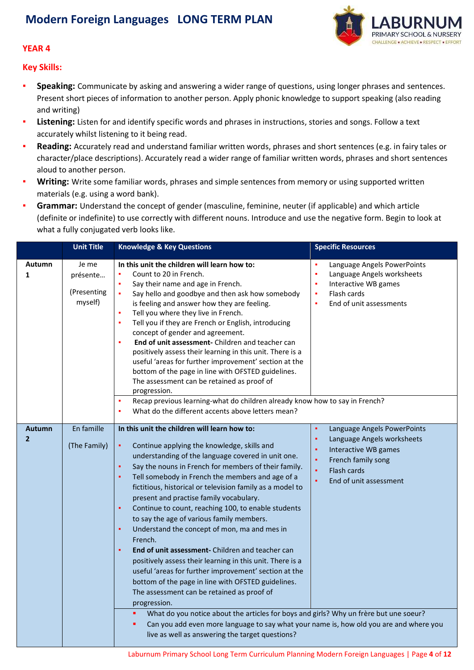

#### **YEAR 4**

**Key Skills:**

- **Speaking:** Communicate by asking and answering a wider range of questions, using longer phrases and sentences. Present short pieces of information to another person. Apply phonic knowledge to support speaking (also reading and writing)
- **Listening:** Listen for and identify specific words and phrases in instructions, stories and songs. Follow a text accurately whilst listening to it being read.
- **Reading:** Accurately read and understand familiar written words, phrases and short sentences (e.g. in fairy tales or character/place descriptions). Accurately read a wider range of familiar written words, phrases and short sentences aloud to another person.
- Writing: Write some familiar words, phrases and simple sentences from memory or using supported written materials (e.g. using a word bank).
- Grammar: Understand the concept of gender (masculine, feminine, neuter (if applicable) and which article (definite or indefinite) to use correctly with different nouns. Introduce and use the negative form. Begin to look at what a fully conjugated verb looks like.

|                                 | <b>Unit Title</b>                           | <b>Knowledge &amp; Key Questions</b>                                                                                                                                                                                                                                                                                                                                                                                                                                                                                                                                                                                                                                                                                                                                                                                                                                                                                                                           | <b>Specific Resources</b>                                                                                                                                                       |
|---------------------------------|---------------------------------------------|----------------------------------------------------------------------------------------------------------------------------------------------------------------------------------------------------------------------------------------------------------------------------------------------------------------------------------------------------------------------------------------------------------------------------------------------------------------------------------------------------------------------------------------------------------------------------------------------------------------------------------------------------------------------------------------------------------------------------------------------------------------------------------------------------------------------------------------------------------------------------------------------------------------------------------------------------------------|---------------------------------------------------------------------------------------------------------------------------------------------------------------------------------|
| Autumn<br>1                     | Je me<br>présente<br>(Presenting<br>myself) | In this unit the children will learn how to:<br>Count to 20 in French.<br>Say their name and age in French.<br>$\bullet$<br>Say hello and goodbye and then ask how somebody<br>is feeling and answer how they are feeling.<br>Tell you where they live in French.<br>Tell you if they are French or English, introducing<br>×<br>concept of gender and agreement.<br>End of unit assessment- Children and teacher can<br>à,<br>positively assess their learning in this unit. There is a<br>useful 'areas for further improvement' section at the<br>bottom of the page in line with OFSTED guidelines.<br>The assessment can be retained as proof of<br>progression.                                                                                                                                                                                                                                                                                          | ×<br>Language Angels PowerPoints<br>Language Angels worksheets<br>×<br>٠<br>Interactive WB games<br>Flash cards<br>×<br>End of unit assessments<br>×                            |
|                                 |                                             | Recap previous learning-what do children already know how to say in French?<br>×<br>What do the different accents above letters mean?                                                                                                                                                                                                                                                                                                                                                                                                                                                                                                                                                                                                                                                                                                                                                                                                                          |                                                                                                                                                                                 |
| <b>Autumn</b><br>$\overline{2}$ | En famille<br>(The Family)                  | In this unit the children will learn how to:<br>Continue applying the knowledge, skills and<br>٠<br>understanding of the language covered in unit one.<br>Say the nouns in French for members of their family.<br>٠<br>Tell somebody in French the members and age of a<br>٠<br>fictitious, historical or television family as a model to<br>present and practise family vocabulary.<br>Continue to count, reaching 100, to enable students<br>×<br>to say the age of various family members.<br>Understand the concept of mon, ma and mes in<br>٠<br>French.<br>End of unit assessment- Children and teacher can<br>٠<br>positively assess their learning in this unit. There is a<br>useful 'areas for further improvement' section at the<br>bottom of the page in line with OFSTED guidelines.<br>The assessment can be retained as proof of<br>progression.<br>What do you notice about the articles for boys and girls? Why un frère but une soeur?<br>٠ | Language Angels PowerPoints<br>٠<br>Language Angels worksheets<br>٠<br>×<br>Interactive WB games<br>×<br>French family song<br>Flash cards<br>×,<br>End of unit assessment<br>× |
|                                 |                                             | Can you add even more language to say what your name is, how old you are and where you<br>٠<br>live as well as answering the target questions?                                                                                                                                                                                                                                                                                                                                                                                                                                                                                                                                                                                                                                                                                                                                                                                                                 |                                                                                                                                                                                 |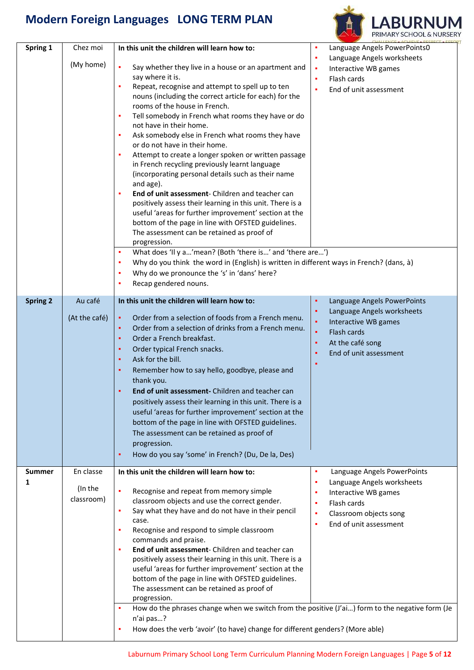

| Spring 1        | Chez moi      | In this unit the children will learn how to:                                                                      | ٠<br>Language Angels PowerPoints0               |
|-----------------|---------------|-------------------------------------------------------------------------------------------------------------------|-------------------------------------------------|
|                 | (My home)     |                                                                                                                   | Language Angels worksheets<br>٠                 |
|                 |               | $\blacksquare$<br>Say whether they live in a house or an apartment and<br>say where it is.                        | Interactive WB games<br>٠                       |
|                 |               | Repeat, recognise and attempt to spell up to ten                                                                  | Flash cards<br>٠                                |
|                 |               | nouns (including the correct article for each) for the                                                            | End of unit assessment<br>٠                     |
|                 |               | rooms of the house in French.                                                                                     |                                                 |
|                 |               | Tell somebody in French what rooms they have or do<br>٠                                                           |                                                 |
|                 |               | not have in their home.                                                                                           |                                                 |
|                 |               | Ask somebody else in French what rooms they have<br>٠                                                             |                                                 |
|                 |               | or do not have in their home.                                                                                     |                                                 |
|                 |               | Attempt to create a longer spoken or written passage<br>٠                                                         |                                                 |
|                 |               | in French recycling previously learnt language<br>(incorporating personal details such as their name              |                                                 |
|                 |               | and age).                                                                                                         |                                                 |
|                 |               | End of unit assessment- Children and teacher can<br>٠                                                             |                                                 |
|                 |               | positively assess their learning in this unit. There is a                                                         |                                                 |
|                 |               | useful 'areas for further improvement' section at the                                                             |                                                 |
|                 |               | bottom of the page in line with OFSTED guidelines.                                                                |                                                 |
|                 |               | The assessment can be retained as proof of                                                                        |                                                 |
|                 |               | progression.<br>What does 'Il y a'mean? (Both 'there is' and 'there are')<br>٠                                    |                                                 |
|                 |               | Why do you think the word in (English) is written in different ways in French? (dans, à)<br>٠                     |                                                 |
|                 |               | Why do we pronounce the 's' in 'dans' here?                                                                       |                                                 |
|                 |               | Recap gendered nouns.                                                                                             |                                                 |
|                 |               |                                                                                                                   |                                                 |
| <b>Spring 2</b> | Au café       | In this unit the children will learn how to:                                                                      | ٠<br>Language Angels PowerPoints                |
|                 | (At the café) | Order from a selection of foods from a French menu.<br>$\blacksquare$                                             | Language Angels worksheets<br>٠                 |
|                 |               | Order from a selection of drinks from a French menu.<br>٠                                                         | Interactive WB games<br>٠                       |
|                 |               | Order a French breakfast.<br>٠                                                                                    | $\blacksquare$<br>Flash cards                   |
|                 |               | Order typical French snacks.<br>٠                                                                                 | At the café song<br>٠<br>End of unit assessment |
|                 |               | Ask for the bill.<br>٠                                                                                            | ٠<br>٠                                          |
|                 |               | Remember how to say hello, goodbye, please and<br>٠                                                               |                                                 |
|                 |               | thank you.                                                                                                        |                                                 |
|                 |               | End of unit assessment- Children and teacher can                                                                  |                                                 |
|                 |               | positively assess their learning in this unit. There is a                                                         |                                                 |
|                 |               | useful 'areas for further improvement' section at the                                                             |                                                 |
|                 |               | bottom of the page in line with OFSTED guidelines.                                                                |                                                 |
|                 |               | The assessment can be retained as proof of                                                                        |                                                 |
|                 |               | progression.                                                                                                      |                                                 |
|                 |               | How do you say 'some' in French? (Du, De la, Des)                                                                 |                                                 |
| <b>Summer</b>   | En classe     | In this unit the children will learn how to:                                                                      | Language Angels PowerPoints<br>٠                |
| 1               | (In the       |                                                                                                                   | Language Angels worksheets<br>٠                 |
|                 | classroom)    | Recognise and repeat from memory simple<br>classroom objects and use the correct gender.                          | Interactive WB games<br>٠                       |
|                 |               | Say what they have and do not have in their pencil<br>٠                                                           | Flash cards<br>٠                                |
|                 |               | case.                                                                                                             | Classroom objects song<br>٠                     |
|                 |               | Recognise and respond to simple classroom<br>٠                                                                    | End of unit assessment<br>٠                     |
|                 |               | commands and praise.                                                                                              |                                                 |
|                 |               | End of unit assessment- Children and teacher can<br>٠                                                             |                                                 |
|                 |               | positively assess their learning in this unit. There is a                                                         |                                                 |
|                 |               | useful 'areas for further improvement' section at the                                                             |                                                 |
|                 |               | bottom of the page in line with OFSTED guidelines.                                                                |                                                 |
|                 |               | The assessment can be retained as proof of<br>progression.                                                        |                                                 |
|                 |               | How do the phrases change when we switch from the positive (J'ai) form to the negative form (Je<br>$\blacksquare$ |                                                 |
|                 |               | n'ai pas?                                                                                                         |                                                 |
|                 |               | How does the verb 'avoir' (to have) change for different genders? (More able)                                     |                                                 |
|                 |               |                                                                                                                   |                                                 |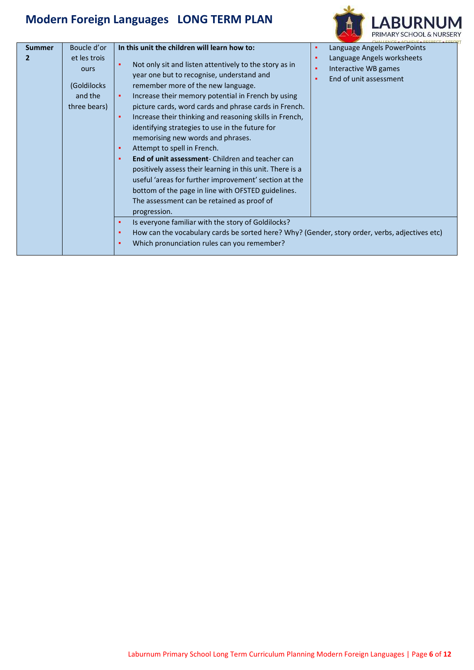**In this unit the children will learn how to:** 

**Summer 2**

Boucle d'or et les trois



| Language Angels PowerPoints |  |
|-----------------------------|--|
|-----------------------------|--|

▪ Language Angels worksheets

| ours<br>(Goldilocks)<br>and the<br>three bears) | LAIRUAKE MIKED WUINSIIEED<br>Not only sit and listen attentively to the story as in<br>ж.<br>Interactive WB games<br>٠<br>year one but to recognise, understand and<br>End of unit assessment<br>٠<br>remember more of the new language.<br>Increase their memory potential in French by using<br>ж.<br>picture cards, word cards and phrase cards in French.<br>Increase their thinking and reasoning skills in French,<br>٠<br>identifying strategies to use in the future for<br>memorising new words and phrases.<br>Attempt to spell in French.<br>ж.<br><b>End of unit assessment-</b> Children and teacher can<br>×.<br>positively assess their learning in this unit. There is a<br>useful 'areas for further improvement' section at the<br>bottom of the page in line with OFSTED guidelines.<br>The assessment can be retained as proof of<br>progression. |
|-------------------------------------------------|-----------------------------------------------------------------------------------------------------------------------------------------------------------------------------------------------------------------------------------------------------------------------------------------------------------------------------------------------------------------------------------------------------------------------------------------------------------------------------------------------------------------------------------------------------------------------------------------------------------------------------------------------------------------------------------------------------------------------------------------------------------------------------------------------------------------------------------------------------------------------|
|                                                 | Is everyone familiar with the story of Goldilocks?<br>ж.<br>How can the vocabulary cards be sorted here? Why? (Gender, story order, verbs, adjectives etc)<br>×.<br>Which pronunciation rules can you remember?<br>$\blacksquare$                                                                                                                                                                                                                                                                                                                                                                                                                                                                                                                                                                                                                                     |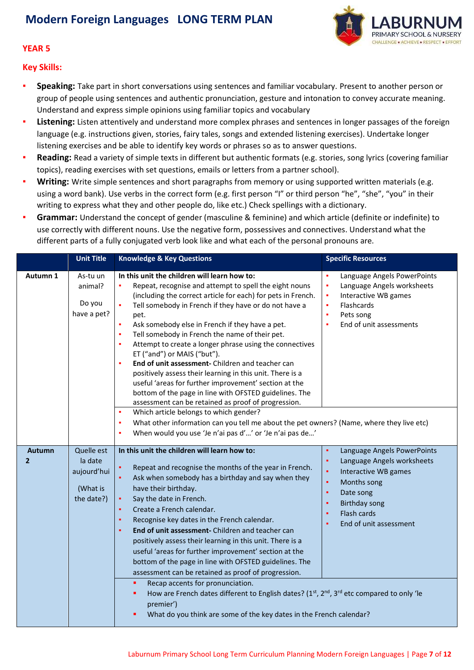

#### **YEAR 5**

**Key Skills:**

- **Speaking:** Take part in short conversations using sentences and familiar vocabulary. Present to another person or group of people using sentences and authentic pronunciation, gesture and intonation to convey accurate meaning. Understand and express simple opinions using familiar topics and vocabulary
- **EXECT 1.1 Instening:** Listen attentively and understand more complex phrases and sentences in longer passages of the foreign language (e.g. instructions given, stories, fairy tales, songs and extended listening exercises). Undertake longer listening exercises and be able to identify key words or phrases so as to answer questions.
- **Reading:** Read a variety of simple texts in different but authentic formats (e.g. stories, song lyrics (covering familiar topics), reading exercises with set questions, emails or letters from a partner school).
- **Writing:** Write simple sentences and short paragraphs from memory or using supported written materials (e.g. using a word bank). Use verbs in the correct form (e.g. first person "I" or third person "he", "she", "you" in their writing to express what they and other people do, like etc.) Check spellings with a dictionary.
- Grammar: Understand the concept of gender (masculine & feminine) and which article (definite or indefinite) to use correctly with different nouns. Use the negative form, possessives and connectives. Understand what the different parts of a fully conjugated verb look like and what each of the personal pronouns are.

|                                 | <b>Unit Title</b>                                              | <b>Knowledge &amp; Key Questions</b>                                                                                                                                                                                                                                                                                                                                                                                                                                                                                                                                                                                                                                                                                                                                                                           | <b>Specific Resources</b>                                                                                                                                                                                                                         |
|---------------------------------|----------------------------------------------------------------|----------------------------------------------------------------------------------------------------------------------------------------------------------------------------------------------------------------------------------------------------------------------------------------------------------------------------------------------------------------------------------------------------------------------------------------------------------------------------------------------------------------------------------------------------------------------------------------------------------------------------------------------------------------------------------------------------------------------------------------------------------------------------------------------------------------|---------------------------------------------------------------------------------------------------------------------------------------------------------------------------------------------------------------------------------------------------|
| Autumn 1                        | As-tu un<br>animal?<br>Do you<br>have a pet?                   | In this unit the children will learn how to:<br>Repeat, recognise and attempt to spell the eight nouns<br>×<br>(including the correct article for each) for pets in French.<br>Tell somebody in French if they have or do not have a<br>٠<br>pet.<br>Ask somebody else in French if they have a pet.<br>٠<br>Tell somebody in French the name of their pet.<br>×<br>Attempt to create a longer phrase using the connectives<br>٠<br>ET ("and") or MAIS ("but").<br>End of unit assessment- Children and teacher can<br>٠<br>positively assess their learning in this unit. There is a<br>useful 'areas for further improvement' section at the<br>bottom of the page in line with OFSTED guidelines. The<br>assessment can be retained as proof of progression.<br>Which article belongs to which gender?<br>٠ | Language Angels PowerPoints<br>٠<br>×,<br>Language Angels worksheets<br>Interactive WB games<br>٠<br>Flashcards<br>٠<br>Pets song<br>٠<br>End of unit assessments<br>٠                                                                            |
|                                 |                                                                | What other information can you tell me about the pet owners? (Name, where they live etc)<br>٠<br>When would you use 'Je n'ai pas d'' or 'Je n'ai pas de'<br>٠                                                                                                                                                                                                                                                                                                                                                                                                                                                                                                                                                                                                                                                  |                                                                                                                                                                                                                                                   |
| <b>Autumn</b><br>$\overline{2}$ | Quelle est<br>la date<br>aujourd'hui<br>(What is<br>the date?) | In this unit the children will learn how to:<br>Repeat and recognise the months of the year in French.<br>٠<br>Ask when somebody has a birthday and say when they<br>$\bullet$<br>have their birthday.<br>Say the date in French.<br>٠<br>Create a French calendar.<br>٠<br>Recognise key dates in the French calendar.<br>٠<br>End of unit assessment- Children and teacher can<br>٠<br>positively assess their learning in this unit. There is a<br>useful 'areas for further improvement' section at the<br>bottom of the page in line with OFSTED guidelines. The<br>assessment can be retained as proof of progression.<br>Recap accents for pronunciation.<br>٠<br>How are French dates different to English dates? $(1st, 2nd, 3rd$ etc compared to only 'le<br>٠                                       | Language Angels PowerPoints<br>$\blacksquare$<br>٠<br>Language Angels worksheets<br>×,<br>Interactive WB games<br>$\blacksquare$<br>Months song<br>Date song<br>٠<br><b>Birthday song</b><br>٠<br>Flash cards<br>٠<br>End of unit assessment<br>٠ |
|                                 |                                                                | premier')<br>What do you think are some of the key dates in the French calendar?                                                                                                                                                                                                                                                                                                                                                                                                                                                                                                                                                                                                                                                                                                                               |                                                                                                                                                                                                                                                   |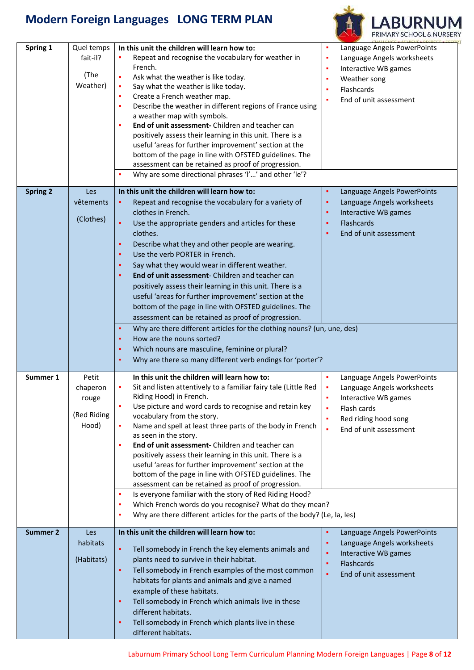

| Spring 1        | Quel temps<br>fait-il?<br>(The<br>Weather)         | In this unit the children will learn how to:<br>Repeat and recognise the vocabulary for weather in<br>French.<br>Ask what the weather is like today.<br>Say what the weather is like today.<br>Create a French weather map.<br>×<br>Describe the weather in different regions of France using<br>×<br>a weather map with symbols.<br>End of unit assessment- Children and teacher can<br>positively assess their learning in this unit. There is a<br>useful 'areas for further improvement' section at the<br>bottom of the page in line with OFSTED guidelines. The<br>assessment can be retained as proof of progression.<br>Why are some directional phrases 'I'' and other 'le'?                                                                                                                                                                | Language Angels PowerPoints<br>٠<br>٠<br>Language Angels worksheets<br>Interactive WB games<br>٠<br>Weather song<br>٠<br><b>Flashcards</b><br>×<br>End of unit assessment<br>×                             |
|-----------------|----------------------------------------------------|------------------------------------------------------------------------------------------------------------------------------------------------------------------------------------------------------------------------------------------------------------------------------------------------------------------------------------------------------------------------------------------------------------------------------------------------------------------------------------------------------------------------------------------------------------------------------------------------------------------------------------------------------------------------------------------------------------------------------------------------------------------------------------------------------------------------------------------------------|------------------------------------------------------------------------------------------------------------------------------------------------------------------------------------------------------------|
| <b>Spring 2</b> | Les<br>vêtements<br>(Clothes)                      | In this unit the children will learn how to:<br>Repeat and recognise the vocabulary for a variety of<br>٠<br>clothes in French.<br>Use the appropriate genders and articles for these<br>٠<br>clothes.<br>Describe what they and other people are wearing.<br>٠<br>Use the verb PORTER in French.<br>٠<br>Say what they would wear in different weather.<br>٠<br><b>End of unit assessment-</b> Children and teacher can<br>٠<br>positively assess their learning in this unit. There is a<br>useful 'areas for further improvement' section at the<br>bottom of the page in line with OFSTED guidelines. The<br>assessment can be retained as proof of progression.<br>Why are there different articles for the clothing nouns? (un, une, des)<br>٠                                                                                                 | ٠<br>Language Angels PowerPoints<br>Language Angels worksheets<br>٠<br>Interactive WB games<br>٠<br>Flashcards<br>٠<br>End of unit assessment<br>٠                                                         |
| Summer 1        | Petit<br>chaperon<br>rouge<br>(Red Riding<br>Hood) | How are the nouns sorted?<br>٠<br>Which nouns are masculine, feminine or plural?<br>٠<br>Why are there so many different verb endings for 'porter'?<br>٠<br>In this unit the children will learn how to:<br>Sit and listen attentively to a familiar fairy tale (Little Red<br>Riding Hood) in French.<br>Use picture and word cards to recognise and retain key<br>vocabulary from the story.<br>Name and spell at least three parts of the body in French<br>as seen in the story.<br>End of unit assessment- Children and teacher can<br>×<br>positively assess their learning in this unit. There is a<br>useful 'areas for further improvement' section at the<br>bottom of the page in line with OFSTED guidelines. The<br>assessment can be retained as proof of progression.<br>Is everyone familiar with the story of Red Riding Hood?<br>× | Language Angels PowerPoints<br>$\blacksquare$<br>×<br>Language Angels worksheets<br>Interactive WB games<br>٠<br>Flash cards<br>٠<br>Red riding hood song<br>٠<br>$\blacksquare$<br>End of unit assessment |
| <b>Summer 2</b> | Les<br>habitats<br>(Habitats)                      | Which French words do you recognise? What do they mean?<br>٠<br>Why are there different articles for the parts of the body? (Le, la, les)<br>×<br>In this unit the children will learn how to:<br>Tell somebody in French the key elements animals and<br>٠<br>plants need to survive in their habitat.<br>Tell somebody in French examples of the most common<br>٠<br>habitats for plants and animals and give a named<br>example of these habitats.<br>Tell somebody in French which animals live in these<br>٠<br>different habitats.<br>Tell somebody in French which plants live in these<br>٠<br>different habitats.                                                                                                                                                                                                                           | Language Angels PowerPoints<br>٠<br>٠<br>Language Angels worksheets<br>Interactive WB games<br>٠<br>Flashcards<br>٠<br>ä<br>End of unit assessment                                                         |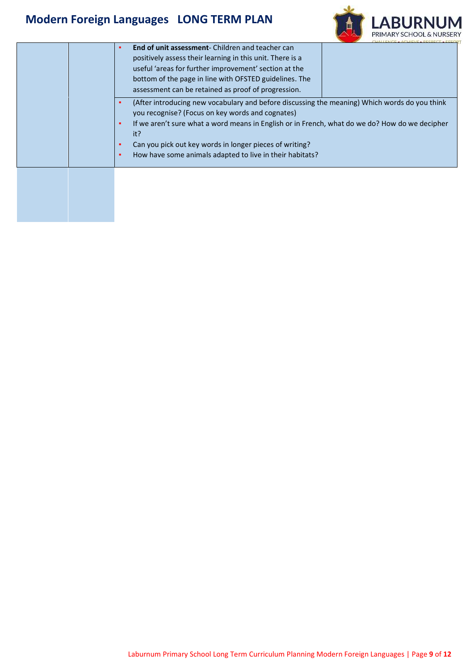

|  | <b>End of unit assessment-</b> Children and teacher can<br>٠<br>positively assess their learning in this unit. There is a<br>useful 'areas for further improvement' section at the<br>bottom of the page in line with OFSTED guidelines. The<br>assessment can be retained as proof of progression.                                                                                                   |
|--|-------------------------------------------------------------------------------------------------------------------------------------------------------------------------------------------------------------------------------------------------------------------------------------------------------------------------------------------------------------------------------------------------------|
|  | (After introducing new vocabulary and before discussing the meaning) Which words do you think<br>٠<br>you recognise? (Focus on key words and cognates)<br>If we aren't sure what a word means in English or in French, what do we do? How do we decipher<br>٠<br>it?<br>Can you pick out key words in longer pieces of writing?<br>٠<br>How have some animals adapted to live in their habitats?<br>٠ |
|  |                                                                                                                                                                                                                                                                                                                                                                                                       |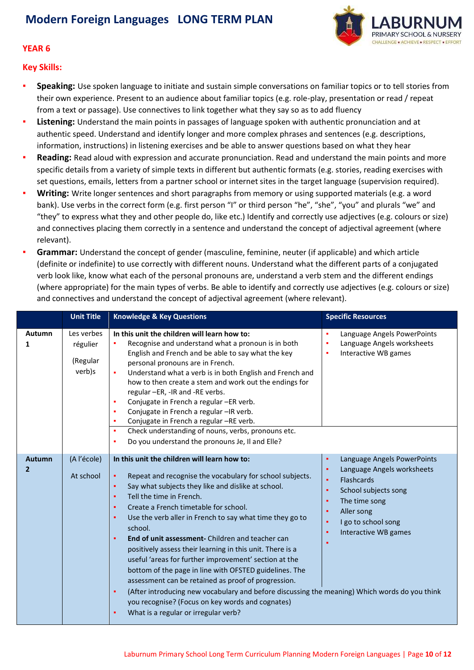

#### **YEAR 6**

**Key Skills:**

- **Speaking:** Use spoken language to initiate and sustain simple conversations on familiar topics or to tell stories from their own experience. Present to an audience about familiar topics (e.g. role-play, presentation or read / repeat from a text or passage). Use connectives to link together what they say so as to add fluency
- **Listening:** Understand the main points in passages of language spoken with authentic pronunciation and at authentic speed. Understand and identify longer and more complex phrases and sentences (e.g. descriptions, information, instructions) in listening exercises and be able to answer questions based on what they hear
- **Reading:** Read aloud with expression and accurate pronunciation. Read and understand the main points and more specific details from a variety of simple texts in different but authentic formats (e.g. stories, reading exercises with set questions, emails, letters from a partner school or internet sites in the target language (supervision required).
- Writing: Write longer sentences and short paragraphs from memory or using supported materials (e.g. a word bank). Use verbs in the correct form (e.g. first person "I" or third person "he", "she", "you" and plurals "we" and "they" to express what they and other people do, like etc.) Identify and correctly use adjectives (e.g. colours or size) and connectives placing them correctly in a sentence and understand the concept of adjectival agreement (where relevant).
- **Grammar:** Understand the concept of gender (masculine, feminine, neuter (if applicable) and which article (definite or indefinite) to use correctly with different nouns. Understand what the different parts of a conjugated verb look like, know what each of the personal pronouns are, understand a verb stem and the different endings (where appropriate) for the main types of verbs. Be able to identify and correctly use adjectives (e.g. colours or size) and connectives and understand the concept of adjectival agreement (where relevant).

|                                 | <b>Unit Title</b>                            | <b>Knowledge &amp; Key Questions</b>                                                                                                                                                                                                                                                                                                                                                                                                                                                                                                                                                                                          | <b>Specific Resources</b>                                                                                                                                                                |
|---------------------------------|----------------------------------------------|-------------------------------------------------------------------------------------------------------------------------------------------------------------------------------------------------------------------------------------------------------------------------------------------------------------------------------------------------------------------------------------------------------------------------------------------------------------------------------------------------------------------------------------------------------------------------------------------------------------------------------|------------------------------------------------------------------------------------------------------------------------------------------------------------------------------------------|
| Autumn<br>1                     | Les verbes<br>régulier<br>(Regular<br>verb)s | In this unit the children will learn how to:<br>Recognise and understand what a pronoun is in both<br>English and French and be able to say what the key<br>personal pronouns are in French.<br>Understand what a verb is in both English and French and<br>٠<br>how to then create a stem and work out the endings for<br>regular -ER, -IR and -RE verbs.<br>Conjugate in French a regular -ER verb.<br>٠<br>Conjugate in French a regular -IR verb.<br>٠<br>Conjugate in French a regular -RE verb.<br>٠<br>Check understanding of nouns, verbs, pronouns etc.<br>٠<br>Do you understand the pronouns Je, Il and Elle?<br>٠ | Language Angels PowerPoints<br>٠<br>Language Angels worksheets<br>٠<br>Interactive WB games<br>٠                                                                                         |
| <b>Autumn</b><br>$\overline{2}$ | (A l'école)<br>At school                     | In this unit the children will learn how to:<br>Repeat and recognise the vocabulary for school subjects.<br>٠<br>Say what subjects they like and dislike at school.<br>٠<br>Tell the time in French.<br>٠<br>Create a French timetable for school.<br>٠<br>Use the verb aller in French to say what time they go to<br>٠<br>school.                                                                                                                                                                                                                                                                                           | Language Angels PowerPoints<br>٠<br>Language Angels worksheets<br>٠<br>Flashcards<br>٠<br>School subjects song<br>٠<br>The time song<br>٠<br>Aller song<br>٠<br>I go to school song<br>٠ |
|                                 |                                              | End of unit assessment- Children and teacher can<br>٠<br>positively assess their learning in this unit. There is a<br>useful 'areas for further improvement' section at the<br>bottom of the page in line with OFSTED guidelines. The<br>assessment can be retained as proof of progression.<br>(After introducing new vocabulary and before discussing the meaning) Which words do you think<br>٠<br>you recognise? (Focus on key words and cognates)<br>What is a regular or irregular verb?<br>٠                                                                                                                           | Interactive WB games<br>٠                                                                                                                                                                |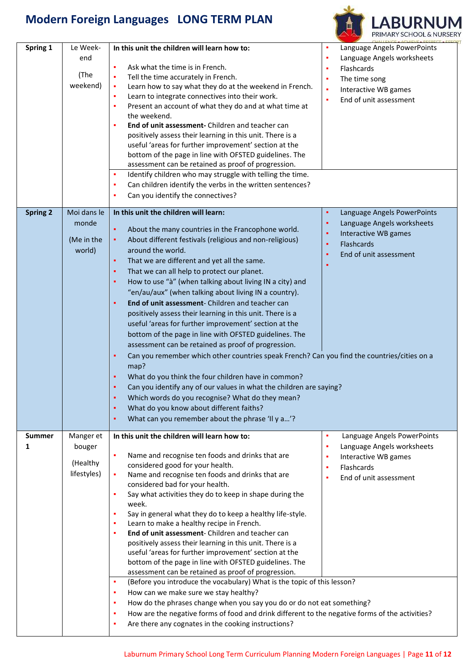

| Spring 1        | Le Week-         | In this unit the children will learn how to:                                                         | ×<br>Language Angels PowerPoints |
|-----------------|------------------|------------------------------------------------------------------------------------------------------|----------------------------------|
|                 | end              |                                                                                                      | Language Angels worksheets<br>٠  |
|                 |                  | Ask what the time is in French.<br>٠                                                                 | Flashcards<br>٠                  |
|                 | (The<br>weekend) | Tell the time accurately in French.<br>٠                                                             | The time song<br>٠               |
|                 |                  | Learn how to say what they do at the weekend in French.<br>٠                                         | Interactive WB games<br>٠        |
|                 |                  | Learn to integrate connectives into their work.<br>٠<br>٠                                            | End of unit assessment<br>×      |
|                 |                  | Present an account of what they do and at what time at<br>the weekend.                               |                                  |
|                 |                  | End of unit assessment- Children and teacher can<br>٠                                                |                                  |
|                 |                  | positively assess their learning in this unit. There is a                                            |                                  |
|                 |                  | useful 'areas for further improvement' section at the                                                |                                  |
|                 |                  | bottom of the page in line with OFSTED guidelines. The                                               |                                  |
|                 |                  | assessment can be retained as proof of progression.                                                  |                                  |
|                 |                  | Identify children who may struggle with telling the time.<br>л                                       |                                  |
|                 |                  | Can children identify the verbs in the written sentences?<br>٠                                       |                                  |
|                 |                  | Can you identify the connectives?<br>٠                                                               |                                  |
|                 |                  |                                                                                                      |                                  |
| <b>Spring 2</b> | Moi dans le      | In this unit the children will learn:                                                                | Language Angels PowerPoints<br>٠ |
|                 | monde            | ٠<br>About the many countries in the Francophone world.                                              | Language Angels worksheets<br>٠  |
|                 | (Me in the       | About different festivals (religious and non-religious)<br>٠                                         | Interactive WB games<br>٠        |
|                 | world)           | around the world.                                                                                    | <b>Flashcards</b><br>٠           |
|                 |                  | That we are different and yet all the same.<br>٠                                                     | End of unit assessment<br>٠      |
|                 |                  | That we can all help to protect our planet.<br>٠                                                     |                                  |
|                 |                  | How to use "à" (when talking about living IN a city) and<br>٠                                        |                                  |
|                 |                  | "en/au/aux" (when talking about living IN a country).                                                |                                  |
|                 |                  | End of unit assessment- Children and teacher can<br>٠                                                |                                  |
|                 |                  | positively assess their learning in this unit. There is a                                            |                                  |
|                 |                  | useful 'areas for further improvement' section at the                                                |                                  |
|                 |                  | bottom of the page in line with OFSTED guidelines. The                                               |                                  |
|                 |                  | assessment can be retained as proof of progression.                                                  |                                  |
|                 |                  | Can you remember which other countries speak French? Can you find the countries/cities on a<br>٠     |                                  |
|                 |                  | map?                                                                                                 |                                  |
|                 |                  | What do you think the four children have in common?<br>٠                                             |                                  |
|                 |                  | Can you identify any of our values in what the children are saying?<br>٠                             |                                  |
|                 |                  | Which words do you recognise? What do they mean?                                                     |                                  |
|                 |                  | What do you know about different faiths?<br>٠                                                        |                                  |
|                 |                  | What can you remember about the phrase 'Il y a'?<br>٠                                                |                                  |
|                 |                  |                                                                                                      |                                  |
| <b>Summer</b>   | Manger et        | In this unit the children will learn how to:                                                         | Language Angels PowerPoints<br>٠ |
| 1               | bouger           |                                                                                                      | Language Angels worksheets<br>٠  |
|                 |                  | Name and recognise ten foods and drinks that are<br>٠                                                | Interactive WB games<br>٠        |
|                 | (Healthy         | considered good for your health.                                                                     | Flashcards<br>٠                  |
|                 | lifestyles)      | Name and recognise ten foods and drinks that are<br>٠                                                | End of unit assessment<br>٠      |
|                 |                  | considered bad for your health.                                                                      |                                  |
|                 |                  | Say what activities they do to keep in shape during the<br>٠<br>week.                                |                                  |
|                 |                  | Say in general what they do to keep a healthy life-style.<br>٠                                       |                                  |
|                 |                  | Learn to make a healthy recipe in French.<br>л                                                       |                                  |
|                 |                  | End of unit assessment- Children and teacher can<br>٠                                                |                                  |
|                 |                  | positively assess their learning in this unit. There is a                                            |                                  |
|                 |                  | useful 'areas for further improvement' section at the                                                |                                  |
|                 |                  | bottom of the page in line with OFSTED guidelines. The                                               |                                  |
|                 |                  | assessment can be retained as proof of progression.                                                  |                                  |
|                 |                  | (Before you introduce the vocabulary) What is the topic of this lesson?<br>٠                         |                                  |
|                 |                  | How can we make sure we stay healthy?<br>٠                                                           |                                  |
|                 |                  | How do the phrases change when you say you do or do not eat something?<br>٠                          |                                  |
|                 |                  | How are the negative forms of food and drink different to the negative forms of the activities?<br>٠ |                                  |
|                 |                  | Are there any cognates in the cooking instructions?                                                  |                                  |